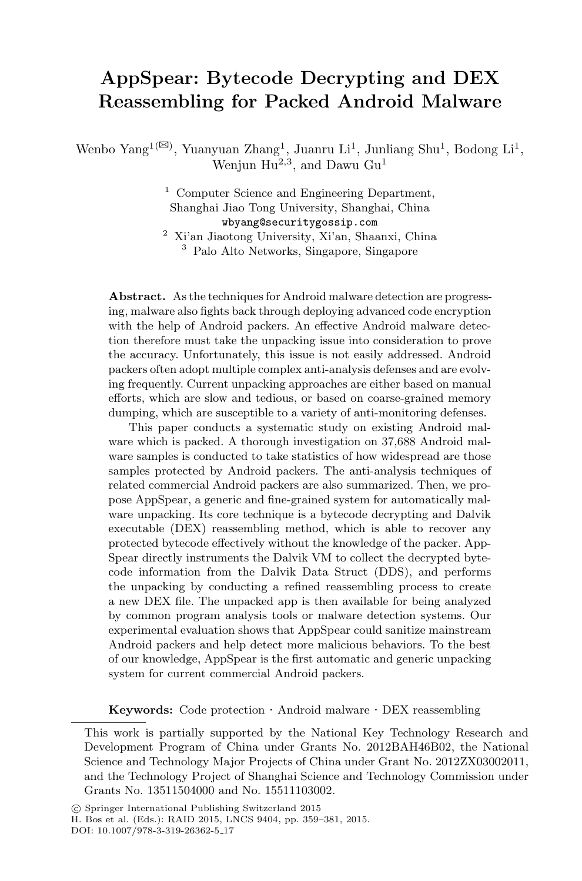# **AppSpear: Bytecode Decrypting and DEX Reassembling for Packed Android Malware**

Wenbo Yang<sup>1( $\boxtimes$ )</sup>, Yuanyuan Zhang<sup>1</sup>, Juanru Li<sup>1</sup>, Junliang Shu<sup>1</sup>, Bodong Li<sup>1</sup>, Wenjun Hu<sup>2,3</sup>, and Dawu Gu<sup>1</sup>

> <sup>1</sup> Computer Science and Engineering Department, Shanghai Jiao Tong University, Shanghai, China wbyang@securitygossip.com  $^2$  Xi'an Jiaotong University, Xi'an, Shaanxi, China <sup>3</sup> Palo Alto Networks, Singapore, Singapore

Abstract. As the techniques for Android malware detection are progressing, malware also fights back through deploying advanced code encryption with the help of Android packers. An effective Android malware detection therefore must take the unpacking issue into consideration to prove the accuracy. Unfortunately, this issue is not easily addressed. Android packers often adopt multiple complex anti-analysis defenses and are evolving frequently. Current unpacking approaches are either based on manual efforts, which are slow and tedious, or based on coarse-grained memory dumping, which are susceptible to a variety of anti-monitoring defenses.

This paper conducts a systematic study on existing Android malware which is packed. A thorough investigation on 37,688 Android malware samples is conducted to take statistics of how widespread are those samples protected by Android packers. The anti-analysis techniques of related commercial Android packers are also summarized. Then, we propose AppSpear, a generic and fine-grained system for automatically malware unpacking. Its core technique is a bytecode decrypting and Dalvik executable (DEX) reassembling method, which is able to recover any protected bytecode effectively without the knowledge of the packer. App-Spear directly instruments the Dalvik VM to collect the decrypted bytecode information from the Dalvik Data Struct (DDS), and performs the unpacking by conducting a refined reassembling process to create a new DEX file. The unpacked app is then available for being analyzed by common program analysis tools or malware detection systems. Our experimental evaluation shows that AppSpear could sanitize mainstream Android packers and help detect more malicious behaviors. To the best of our knowledge, AppSpear is the first automatic and generic unpacking system for current commercial Android packers.

**Keywords:** Code protection *·* Android malware *·* DEX reassembling

This work is partially supported by the National Key Technology Research and Development Program of China under Grants No. 2012BAH46B02, the National Science and Technology Major Projects of China under Grant No. 2012ZX03002011, and the Technology Project of Shanghai Science and Technology Commission under Grants No. 13511504000 and No. 15511103002.

<sup>-</sup>c Springer International Publishing Switzerland 2015

H. Bos et al. (Eds.): RAID 2015, LNCS 9404, pp. 359–381, 2015.

DOI: 10.1007/978-3-319-26362-5 17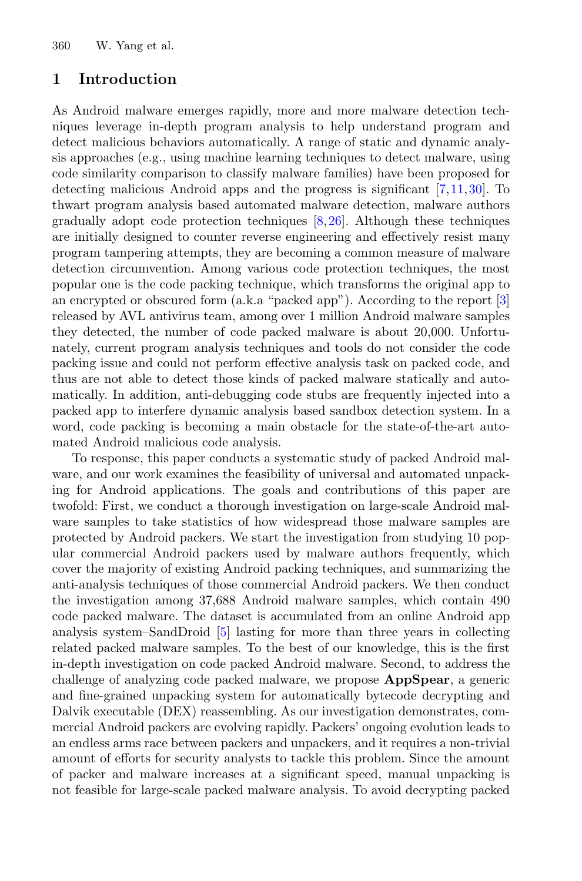# **1 Introduction**

As Android malware emerges rapidly, more and more malware detection techniques leverage in-depth program analysis to help understand program and detect malicious behaviors automatically. A range of static and dynamic analysis approaches (e.g., using machine learning techniques to detect malware, using code similarity comparison to classify malware families) have been proposed for detecting malicious Android apps and the progress is significant [\[7,](#page-21-0)[11](#page-21-1)[,30](#page-22-0)]. To thwart program analysis based automated malware detection, malware authors gradually adopt code protection techniques [\[8](#page-21-2)[,26](#page-22-1)]. Although these techniques are initially designed to counter reverse engineering and effectively resist many program tampering attempts, they are becoming a common measure of malware detection circumvention. Among various code protection techniques, the most popular one is the code packing technique, which transforms the original app to an encrypted or obscured form (a.k.a "packed app"). According to the report [\[3](#page-21-3)] released by AVL antivirus team, among over 1 million Android malware samples they detected, the number of code packed malware is about 20,000. Unfortunately, current program analysis techniques and tools do not consider the code packing issue and could not perform effective analysis task on packed code, and thus are not able to detect those kinds of packed malware statically and automatically. In addition, anti-debugging code stubs are frequently injected into a packed app to interfere dynamic analysis based sandbox detection system. In a word, code packing is becoming a main obstacle for the state-of-the-art automated Android malicious code analysis.

To response, this paper conducts a systematic study of packed Android malware, and our work examines the feasibility of universal and automated unpacking for Android applications. The goals and contributions of this paper are twofold: First, we conduct a thorough investigation on large-scale Android malware samples to take statistics of how widespread those malware samples are protected by Android packers. We start the investigation from studying 10 popular commercial Android packers used by malware authors frequently, which cover the majority of existing Android packing techniques, and summarizing the anti-analysis techniques of those commercial Android packers. We then conduct the investigation among 37,688 Android malware samples, which contain 490 code packed malware. The dataset is accumulated from an online Android app analysis system–SandDroid [\[5](#page-21-4)] lasting for more than three years in collecting related packed malware samples. To the best of our knowledge, this is the first in-depth investigation on code packed Android malware. Second, to address the challenge of analyzing code packed malware, we propose **AppSpear**, a generic and fine-grained unpacking system for automatically bytecode decrypting and Dalvik executable (DEX) reassembling. As our investigation demonstrates, commercial Android packers are evolving rapidly. Packers' ongoing evolution leads to an endless arms race between packers and unpackers, and it requires a non-trivial amount of efforts for security analysts to tackle this problem. Since the amount of packer and malware increases at a significant speed, manual unpacking is not feasible for large-scale packed malware analysis. To avoid decrypting packed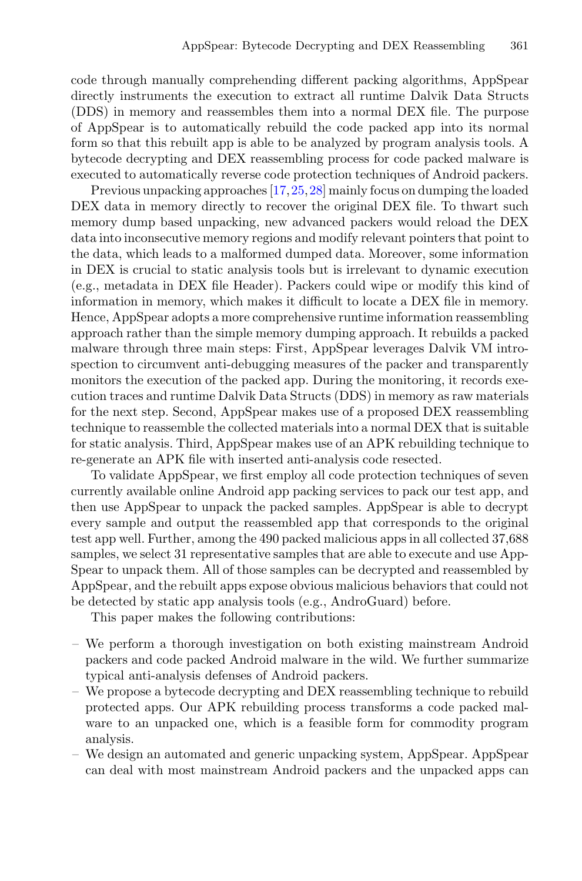code through manually comprehending different packing algorithms, AppSpear directly instruments the execution to extract all runtime Dalvik Data Structs (DDS) in memory and reassembles them into a normal DEX file. The purpose of AppSpear is to automatically rebuild the code packed app into its normal form so that this rebuilt app is able to be analyzed by program analysis tools. A bytecode decrypting and DEX reassembling process for code packed malware is executed to automatically reverse code protection techniques of Android packers.

Previous unpacking approaches [\[17](#page-21-5)[,25,](#page-22-2)[28\]](#page-22-3) mainly focus on dumping the loaded DEX data in memory directly to recover the original DEX file. To thwart such memory dump based unpacking, new advanced packers would reload the DEX data into inconsecutive memory regions and modify relevant pointers that point to the data, which leads to a malformed dumped data. Moreover, some information in DEX is crucial to static analysis tools but is irrelevant to dynamic execution (e.g., metadata in DEX file Header). Packers could wipe or modify this kind of information in memory, which makes it difficult to locate a DEX file in memory. Hence, AppSpear adopts a more comprehensive runtime information reassembling approach rather than the simple memory dumping approach. It rebuilds a packed malware through three main steps: First, AppSpear leverages Dalvik VM introspection to circumvent anti-debugging measures of the packer and transparently monitors the execution of the packed app. During the monitoring, it records execution traces and runtime Dalvik Data Structs (DDS) in memory as raw materials for the next step. Second, AppSpear makes use of a proposed DEX reassembling technique to reassemble the collected materials into a normal DEX that is suitable for static analysis. Third, AppSpear makes use of an APK rebuilding technique to re-generate an APK file with inserted anti-analysis code resected.

To validate AppSpear, we first employ all code protection techniques of seven currently available online Android app packing services to pack our test app, and then use AppSpear to unpack the packed samples. AppSpear is able to decrypt every sample and output the reassembled app that corresponds to the original test app well. Further, among the 490 packed malicious apps in all collected 37,688 samples, we select 31 representative samples that are able to execute and use App-Spear to unpack them. All of those samples can be decrypted and reassembled by AppSpear, and the rebuilt apps expose obvious malicious behaviors that could not be detected by static app analysis tools (e.g., AndroGuard) before.

This paper makes the following contributions:

- We perform a thorough investigation on both existing mainstream Android packers and code packed Android malware in the wild. We further summarize typical anti-analysis defenses of Android packers.
- We propose a bytecode decrypting and DEX reassembling technique to rebuild protected apps. Our APK rebuilding process transforms a code packed malware to an unpacked one, which is a feasible form for commodity program analysis.
- We design an automated and generic unpacking system, AppSpear. AppSpear can deal with most mainstream Android packers and the unpacked apps can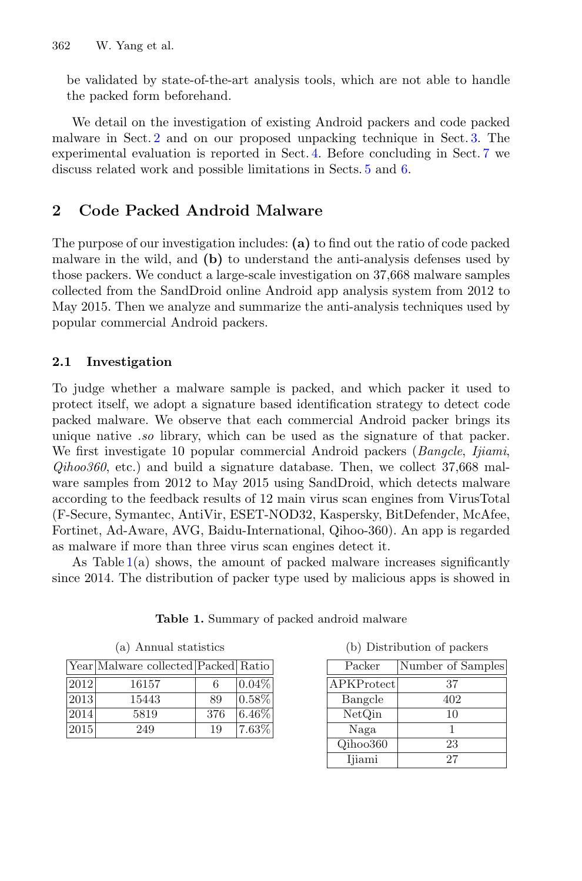be validated by state-of-the-art analysis tools, which are not able to handle the packed form beforehand.

We detail on the investigation of existing Android packers and code packed malware in Sect. [2](#page-3-0) and on our proposed unpacking technique in Sect. [3.](#page-7-0) The experimental evaluation is reported in Sect. [4.](#page-13-0) Before concluding in Sect. [7](#page-20-0) we discuss related work and possible limitations in Sects. [5](#page-18-0) and [6.](#page-19-0)

# <span id="page-3-0"></span>**2 Code Packed Android Malware**

The purpose of our investigation includes: **(a)** to find out the ratio of code packed malware in the wild, and **(b)** to understand the anti-analysis defenses used by those packers. We conduct a large-scale investigation on 37,668 malware samples collected from the SandDroid online Android app analysis system from 2012 to May 2015. Then we analyze and summarize the anti-analysis techniques used by popular commercial Android packers.

# **2.1 Investigation**

To judge whether a malware sample is packed, and which packer it used to protect itself, we adopt a signature based identification strategy to detect code packed malware. We observe that each commercial Android packer brings its unique native *.so* library, which can be used as the signature of that packer. We first investigate 10 popular commercial Android packers (*Bangcle*, *Ijiami*, *Qihoo360*, etc.) and build a signature database. Then, we collect 37,668 malware samples from 2012 to May 2015 using SandDroid, which detects malware according to the feedback results of 12 main virus scan engines from VirusTotal (F-Secure, Symantec, AntiVir, ESET-NOD32, Kaspersky, BitDefender, McAfee, Fortinet, Ad-Aware, AVG, Baidu-International, Qihoo-360). An app is regarded as malware if more than three virus scan engines detect it.

As Table  $1(a)$  $1(a)$  shows, the amount of packed malware increases significantly since 2014. The distribution of packer type used by malicious apps is showed in

|      | Year Malware collected Packed Ratio |     |            |
|------|-------------------------------------|-----|------------|
| 2012 | 16157                               | 6   | $ 0.04\% $ |
| 2013 | 15443                               | 89  | $ 0.58\%$  |
| 2014 | 5819                                | 376 | $6.46\%$   |
| 2015 | 249                                 | 19  | $ 7.63\% $ |

<span id="page-3-1"></span>(a) Annual statistics

**Table 1.** Summary of packed android malware

| $\mathcal{L}_{\mathcal{L}}$ |                   |  |  |  |  |
|-----------------------------|-------------------|--|--|--|--|
| Packer                      | Number of Samples |  |  |  |  |
| APKProtect                  | 37                |  |  |  |  |
| Bangcle                     | 402               |  |  |  |  |
| NetQin                      | 10                |  |  |  |  |
| Naga                        |                   |  |  |  |  |
| $Qi$ hoo $360$              | 23                |  |  |  |  |
| Ijiami                      | 27                |  |  |  |  |

(b) Distribution of packers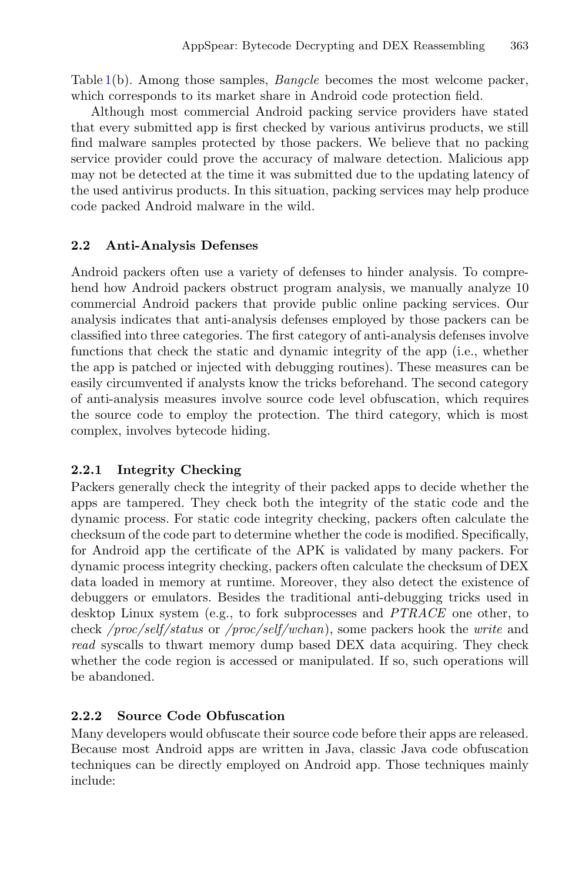Table [1\(](#page-3-1)b). Among those samples, *Bangcle* becomes the most welcome packer, which corresponds to its market share in Android code protection field.

Although most commercial Android packing service providers have stated that every submitted app is first checked by various antivirus products, we still find malware samples protected by those packers. We believe that no packing service provider could prove the accuracy of malware detection. Malicious app may not be detected at the time it was submitted due to the updating latency of the used antivirus products. In this situation, packing services may help produce code packed Android malware in the wild.

## **2.2 Anti-Analysis Defenses**

Android packers often use a variety of defenses to hinder analysis. To comprehend how Android packers obstruct program analysis, we manually analyze 10 commercial Android packers that provide public online packing services. Our analysis indicates that anti-analysis defenses employed by those packers can be classified into three categories. The first category of anti-analysis defenses involve functions that check the static and dynamic integrity of the app (i.e., whether the app is patched or injected with debugging routines). These measures can be easily circumvented if analysts know the tricks beforehand. The second category of anti-analysis measures involve source code level obfuscation, which requires the source code to employ the protection. The third category, which is most complex, involves bytecode hiding.

# **2.2.1 Integrity Checking**

Packers generally check the integrity of their packed apps to decide whether the apps are tampered. They check both the integrity of the static code and the dynamic process. For static code integrity checking, packers often calculate the checksum of the code part to determine whether the code is modified. Specifically, for Android app the certificate of the APK is validated by many packers. For dynamic process integrity checking, packers often calculate the checksum of DEX data loaded in memory at runtime. Moreover, they also detect the existence of debuggers or emulators. Besides the traditional anti-debugging tricks used in desktop Linux system (e.g., to fork subprocesses and *PTRACE* one other, to check */proc/self/status* or */proc/self/wchan*), some packers hook the *write* and *read* syscalls to thwart memory dump based DEX data acquiring. They check whether the code region is accessed or manipulated. If so, such operations will be abandoned.

#### **2.2.2 Source Code Obfuscation**

Many developers would obfuscate their source code before their apps are released. Because most Android apps are written in Java, classic Java code obfuscation techniques can be directly employed on Android app. Those techniques mainly include: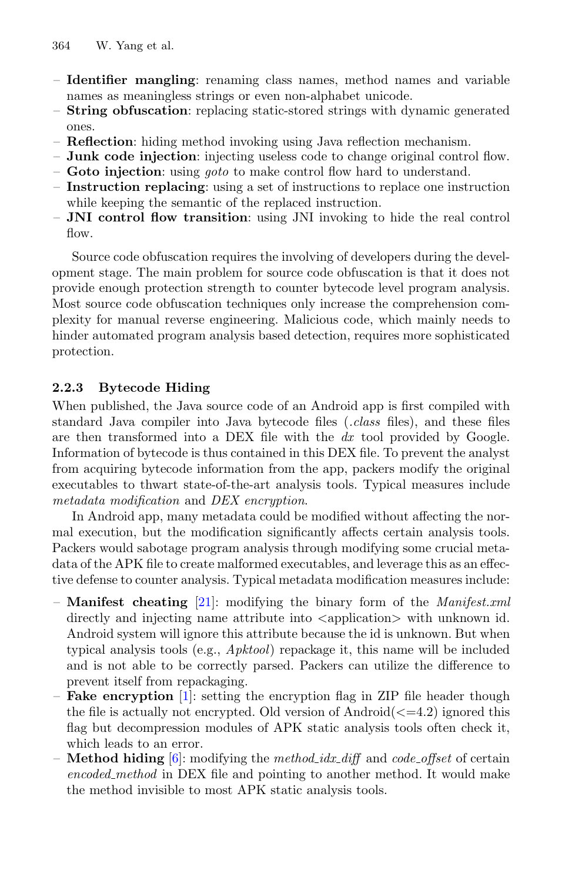- **Identifier mangling**: renaming class names, method names and variable names as meaningless strings or even non-alphabet unicode.
- **String obfuscation**: replacing static-stored strings with dynamic generated ones.
- **Reflection**: hiding method invoking using Java reflection mechanism.
- **Junk code injection**: injecting useless code to change original control flow.
- **Goto injection**: using *goto* to make control flow hard to understand.
- **Instruction replacing**: using a set of instructions to replace one instruction while keeping the semantic of the replaced instruction.
- **JNI control flow transition**: using JNI invoking to hide the real control flow.

Source code obfuscation requires the involving of developers during the development stage. The main problem for source code obfuscation is that it does not provide enough protection strength to counter bytecode level program analysis. Most source code obfuscation techniques only increase the comprehension complexity for manual reverse engineering. Malicious code, which mainly needs to hinder automated program analysis based detection, requires more sophisticated protection.

# **2.2.3 Bytecode Hiding**

When published, the Java source code of an Android app is first compiled with standard Java compiler into Java bytecode files (*.class* files), and these files are then transformed into a DEX file with the *dx* tool provided by Google. Information of bytecode is thus contained in this DEX file. To prevent the analyst from acquiring bytecode information from the app, packers modify the original executables to thwart state-of-the-art analysis tools. Typical measures include *metadata modification* and *DEX encryption*.

In Android app, many metadata could be modified without affecting the normal execution, but the modification significantly affects certain analysis tools. Packers would sabotage program analysis through modifying some crucial metadata of the APK file to create malformed executables, and leverage this as an effective defense to counter analysis. Typical metadata modification measures include:

- **Manifest cheating** [\[21\]](#page-21-6): modifying the binary form of the *Manifest.xml* directly and injecting name attribute into *<*application*>* with unknown id. Android system will ignore this attribute because the id is unknown. But when typical analysis tools (e.g., *Apktool*) repackage it, this name will be included and is not able to be correctly parsed. Packers can utilize the difference to prevent itself from repackaging.
- **Fake encryption** [\[1\]](#page-20-1): setting the encryption flag in ZIP file header though the file is actually not encrypted. Old version of Android(*<*=4.2) ignored this flag but decompression modules of APK static analysis tools often check it, which leads to an error.
- **Method hiding** [\[6\]](#page-21-7): modifying the *method idx diff* and *code offset* of certain *encoded method* in DEX file and pointing to another method. It would make the method invisible to most APK static analysis tools.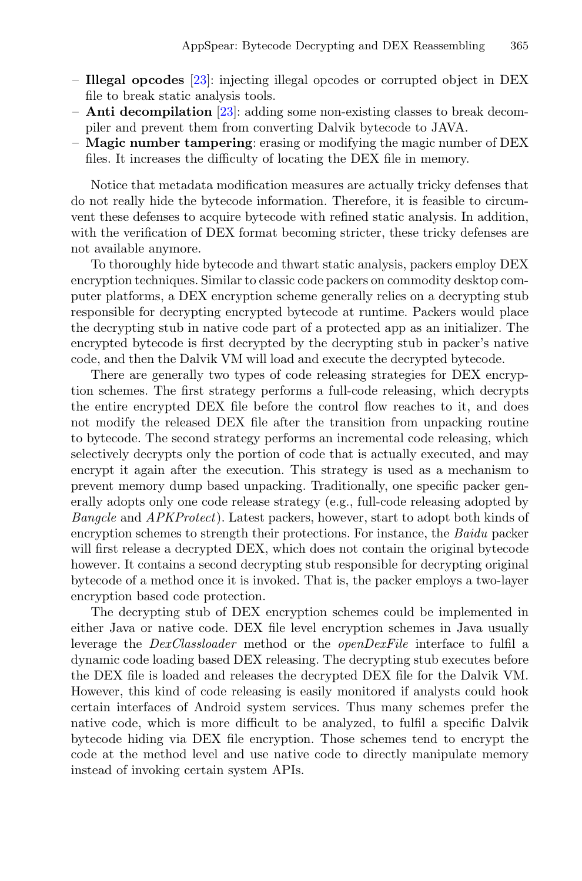- **Illegal opcodes** [\[23](#page-22-4)]: injecting illegal opcodes or corrupted object in DEX file to break static analysis tools.
- **Anti decompilation** [\[23](#page-22-4)]: adding some non-existing classes to break decompiler and prevent them from converting Dalvik bytecode to JAVA.
- **Magic number tampering**: erasing or modifying the magic number of DEX files. It increases the difficulty of locating the DEX file in memory.

Notice that metadata modification measures are actually tricky defenses that do not really hide the bytecode information. Therefore, it is feasible to circumvent these defenses to acquire bytecode with refined static analysis. In addition, with the verification of DEX format becoming stricter, these tricky defenses are not available anymore.

To thoroughly hide bytecode and thwart static analysis, packers employ DEX encryption techniques. Similar to classic code packers on commodity desktop computer platforms, a DEX encryption scheme generally relies on a decrypting stub responsible for decrypting encrypted bytecode at runtime. Packers would place the decrypting stub in native code part of a protected app as an initializer. The encrypted bytecode is first decrypted by the decrypting stub in packer's native code, and then the Dalvik VM will load and execute the decrypted bytecode.

There are generally two types of code releasing strategies for DEX encryption schemes. The first strategy performs a full-code releasing, which decrypts the entire encrypted DEX file before the control flow reaches to it, and does not modify the released DEX file after the transition from unpacking routine to bytecode. The second strategy performs an incremental code releasing, which selectively decrypts only the portion of code that is actually executed, and may encrypt it again after the execution. This strategy is used as a mechanism to prevent memory dump based unpacking. Traditionally, one specific packer generally adopts only one code release strategy (e.g., full-code releasing adopted by *Bangcle* and *APKProtect*). Latest packers, however, start to adopt both kinds of encryption schemes to strength their protections. For instance, the *Baidu* packer will first release a decrypted DEX, which does not contain the original bytecode however. It contains a second decrypting stub responsible for decrypting original bytecode of a method once it is invoked. That is, the packer employs a two-layer encryption based code protection.

The decrypting stub of DEX encryption schemes could be implemented in either Java or native code. DEX file level encryption schemes in Java usually leverage the *DexClassloader* method or the *openDexFile* interface to fulfil a dynamic code loading based DEX releasing. The decrypting stub executes before the DEX file is loaded and releases the decrypted DEX file for the Dalvik VM. However, this kind of code releasing is easily monitored if analysts could hook certain interfaces of Android system services. Thus many schemes prefer the native code, which is more difficult to be analyzed, to fulfil a specific Dalvik bytecode hiding via DEX file encryption. Those schemes tend to encrypt the code at the method level and use native code to directly manipulate memory instead of invoking certain system APIs.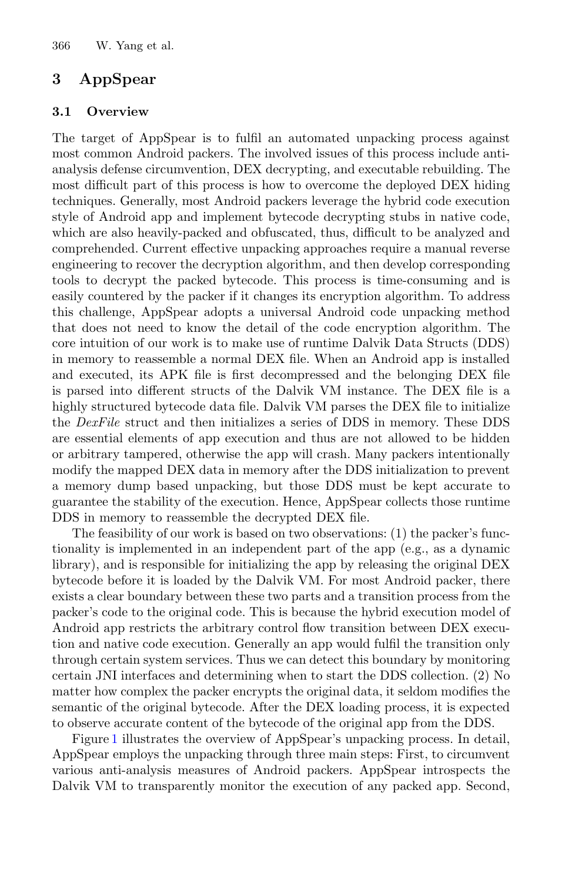# <span id="page-7-0"></span>**3 AppSpear**

#### **3.1 Overview**

The target of AppSpear is to fulfil an automated unpacking process against most common Android packers. The involved issues of this process include antianalysis defense circumvention, DEX decrypting, and executable rebuilding. The most difficult part of this process is how to overcome the deployed DEX hiding techniques. Generally, most Android packers leverage the hybrid code execution style of Android app and implement bytecode decrypting stubs in native code, which are also heavily-packed and obfuscated, thus, difficult to be analyzed and comprehended. Current effective unpacking approaches require a manual reverse engineering to recover the decryption algorithm, and then develop corresponding tools to decrypt the packed bytecode. This process is time-consuming and is easily countered by the packer if it changes its encryption algorithm. To address this challenge, AppSpear adopts a universal Android code unpacking method that does not need to know the detail of the code encryption algorithm. The core intuition of our work is to make use of runtime Dalvik Data Structs (DDS) in memory to reassemble a normal DEX file. When an Android app is installed and executed, its APK file is first decompressed and the belonging DEX file is parsed into different structs of the Dalvik VM instance. The DEX file is a highly structured bytecode data file. Dalvik VM parses the DEX file to initialize the *DexFile* struct and then initializes a series of DDS in memory. These DDS are essential elements of app execution and thus are not allowed to be hidden or arbitrary tampered, otherwise the app will crash. Many packers intentionally modify the mapped DEX data in memory after the DDS initialization to prevent a memory dump based unpacking, but those DDS must be kept accurate to guarantee the stability of the execution. Hence, AppSpear collects those runtime DDS in memory to reassemble the decrypted DEX file.

The feasibility of our work is based on two observations: (1) the packer's functionality is implemented in an independent part of the app (e.g., as a dynamic library), and is responsible for initializing the app by releasing the original DEX bytecode before it is loaded by the Dalvik VM. For most Android packer, there exists a clear boundary between these two parts and a transition process from the packer's code to the original code. This is because the hybrid execution model of Android app restricts the arbitrary control flow transition between DEX execution and native code execution. Generally an app would fulfil the transition only through certain system services. Thus we can detect this boundary by monitoring certain JNI interfaces and determining when to start the DDS collection. (2) No matter how complex the packer encrypts the original data, it seldom modifies the semantic of the original bytecode. After the DEX loading process, it is expected to observe accurate content of the bytecode of the original app from the DDS.

Figure [1](#page-8-0) illustrates the overview of AppSpear's unpacking process. In detail, AppSpear employs the unpacking through three main steps: First, to circumvent various anti-analysis measures of Android packers. AppSpear introspects the Dalvik VM to transparently monitor the execution of any packed app. Second,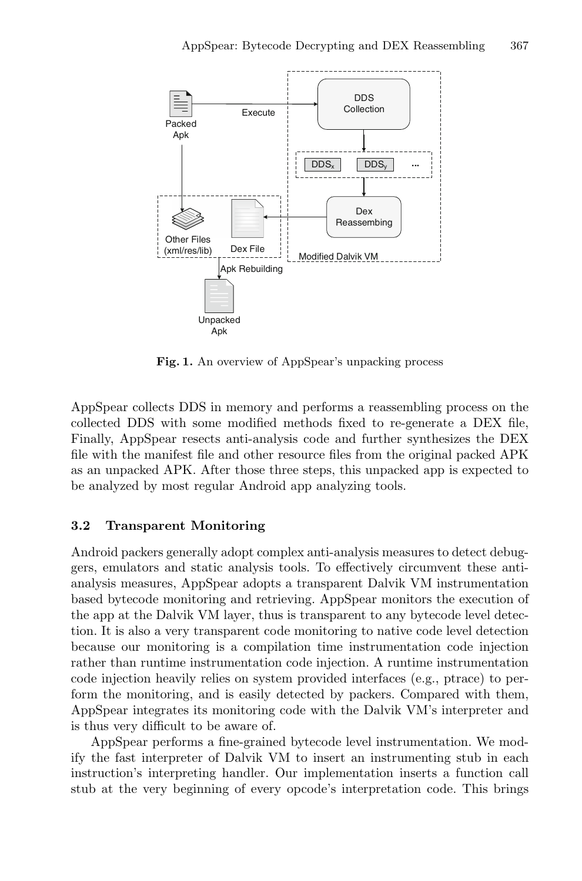

<span id="page-8-0"></span>**Fig. 1.** An overview of AppSpear's unpacking process

AppSpear collects DDS in memory and performs a reassembling process on the collected DDS with some modified methods fixed to re-generate a DEX file, Finally, AppSpear resects anti-analysis code and further synthesizes the DEX file with the manifest file and other resource files from the original packed APK as an unpacked APK. After those three steps, this unpacked app is expected to be analyzed by most regular Android app analyzing tools.

#### **3.2 Transparent Monitoring**

Android packers generally adopt complex anti-analysis measures to detect debuggers, emulators and static analysis tools. To effectively circumvent these antianalysis measures, AppSpear adopts a transparent Dalvik VM instrumentation based bytecode monitoring and retrieving. AppSpear monitors the execution of the app at the Dalvik VM layer, thus is transparent to any bytecode level detection. It is also a very transparent code monitoring to native code level detection because our monitoring is a compilation time instrumentation code injection rather than runtime instrumentation code injection. A runtime instrumentation code injection heavily relies on system provided interfaces (e.g., ptrace) to perform the monitoring, and is easily detected by packers. Compared with them, AppSpear integrates its monitoring code with the Dalvik VM's interpreter and is thus very difficult to be aware of.

AppSpear performs a fine-grained bytecode level instrumentation. We modify the fast interpreter of Dalvik VM to insert an instrumenting stub in each instruction's interpreting handler. Our implementation inserts a function call stub at the very beginning of every opcode's interpretation code. This brings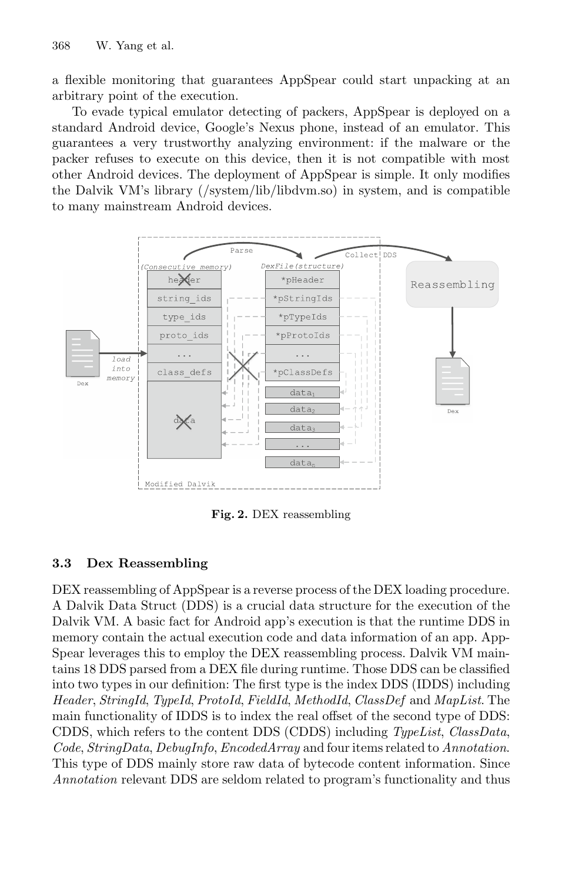a flexible monitoring that guarantees AppSpear could start unpacking at an arbitrary point of the execution.

To evade typical emulator detecting of packers, AppSpear is deployed on a standard Android device, Google's Nexus phone, instead of an emulator. This guarantees a very trustworthy analyzing environment: if the malware or the packer refuses to execute on this device, then it is not compatible with most other Android devices. The deployment of AppSpear is simple. It only modifies the Dalvik VM's library (/system/lib/libdvm.so) in system, and is compatible to many mainstream Android devices.



<span id="page-9-0"></span>**Fig. 2.** DEX reassembling

# **3.3 Dex Reassembling**

DEX reassembling of AppSpear is a reverse process of the DEX loading procedure. A Dalvik Data Struct (DDS) is a crucial data structure for the execution of the Dalvik VM. A basic fact for Android app's execution is that the runtime DDS in memory contain the actual execution code and data information of an app. App-Spear leverages this to employ the DEX reassembling process. Dalvik VM maintains 18 DDS parsed from a DEX file during runtime. Those DDS can be classified into two types in our definition: The first type is the index DDS (IDDS) including *Header*, *StringId*, *TypeId*, *ProtoId*, *FieldId*, *MethodId*, *ClassDef* and *MapList*. The main functionality of IDDS is to index the real offset of the second type of DDS: CDDS, which refers to the content DDS (CDDS) including *TypeList*, *ClassData*, *Code*, *StringData*, *DebugInfo*, *EncodedArray* and four items related to *Annotation*. This type of DDS mainly store raw data of bytecode content information. Since *Annotation* relevant DDS are seldom related to program's functionality and thus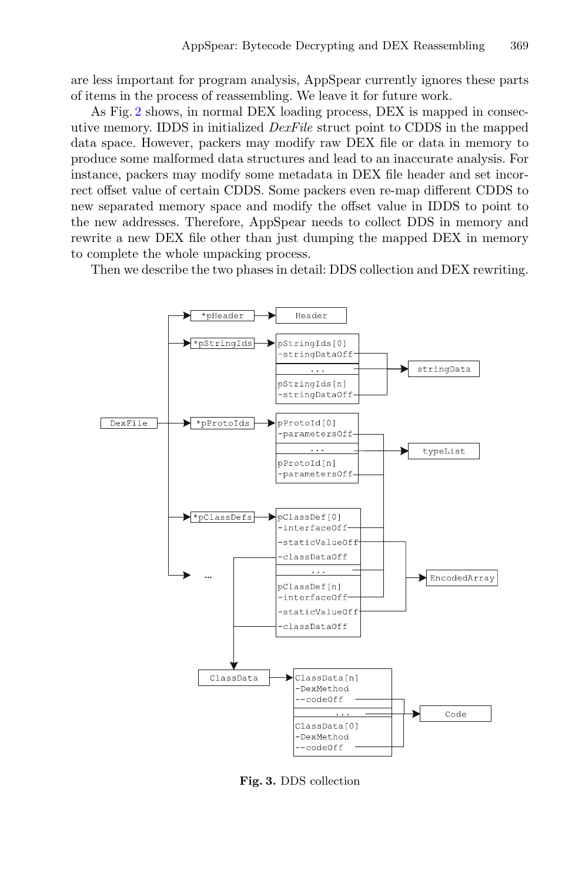are less important for program analysis, AppSpear currently ignores these parts of items in the process of reassembling. We leave it for future work.

As Fig. [2](#page-9-0) shows, in normal DEX loading process, DEX is mapped in consecutive memory. IDDS in initialized *DexFile* struct point to CDDS in the mapped data space. However, packers may modify raw DEX file or data in memory to produce some malformed data structures and lead to an inaccurate analysis. For instance, packers may modify some metadata in DEX file header and set incorrect offset value of certain CDDS. Some packers even re-map different CDDS to new separated memory space and modify the offset value in IDDS to point to the new addresses. Therefore, AppSpear needs to collect DDS in memory and rewrite a new DEX file other than just dumping the mapped DEX in memory to complete the whole unpacking process.

Then we describe the two phases in detail: DDS collection and DEX rewriting.



<span id="page-10-0"></span>**Fig. 3.** DDS collection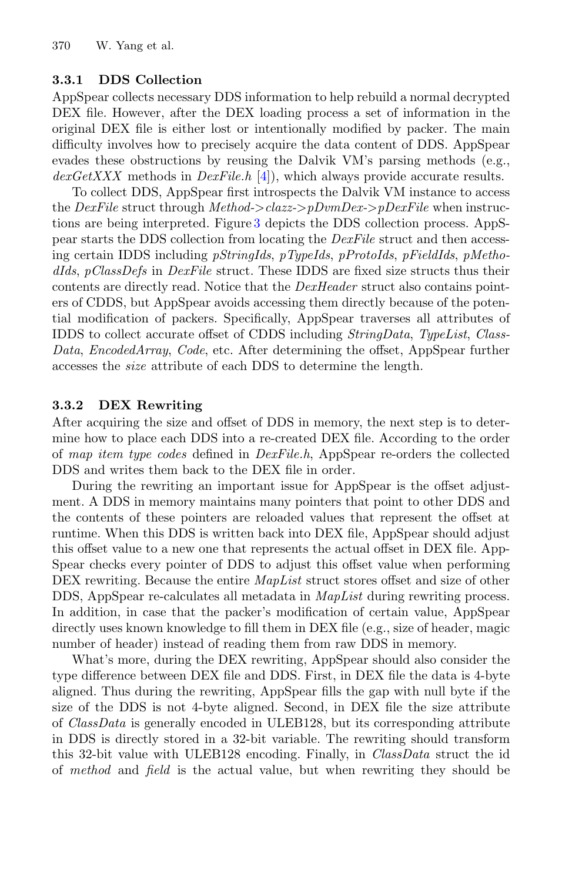## **3.3.1 DDS Collection**

AppSpear collects necessary DDS information to help rebuild a normal decrypted DEX file. However, after the DEX loading process a set of information in the original DEX file is either lost or intentionally modified by packer. The main difficulty involves how to precisely acquire the data content of DDS. AppSpear evades these obstructions by reusing the Dalvik VM's parsing methods (e.g., *dexGetXXX* methods in *DexFile.h* [\[4\]](#page-21-8)), which always provide accurate results.

To collect DDS, AppSpear first introspects the Dalvik VM instance to access the *DexFile* struct through *Method->clazz->pDvmDex->pDexFile* when instructions are being interpreted. Figure [3](#page-10-0) depicts the DDS collection process. AppSpear starts the DDS collection from locating the *DexFile* struct and then accessing certain IDDS including *pStringIds*, *pTypeIds*, *pProtoIds*, *pFieldIds*, *pMethodIds*, *pClassDefs* in *DexFile* struct. These IDDS are fixed size structs thus their contents are directly read. Notice that the *DexHeader* struct also contains pointers of CDDS, but AppSpear avoids accessing them directly because of the potential modification of packers. Specifically, AppSpear traverses all attributes of IDDS to collect accurate offset of CDDS including *StringData*, *TypeList*, *Class-Data*, *EncodedArray*, *Code*, etc. After determining the offset, AppSpear further accesses the *size* attribute of each DDS to determine the length.

## **3.3.2 DEX Rewriting**

After acquiring the size and offset of DDS in memory, the next step is to determine how to place each DDS into a re-created DEX file. According to the order of *map item type codes* defined in *DexFile.h*, AppSpear re-orders the collected DDS and writes them back to the DEX file in order.

During the rewriting an important issue for AppSpear is the offset adjustment. A DDS in memory maintains many pointers that point to other DDS and the contents of these pointers are reloaded values that represent the offset at runtime. When this DDS is written back into DEX file, AppSpear should adjust this offset value to a new one that represents the actual offset in DEX file. App-Spear checks every pointer of DDS to adjust this offset value when performing DEX rewriting. Because the entire *MapList* struct stores offset and size of other DDS, AppSpear re-calculates all metadata in *MapList* during rewriting process. In addition, in case that the packer's modification of certain value, AppSpear directly uses known knowledge to fill them in DEX file (e.g., size of header, magic number of header) instead of reading them from raw DDS in memory.

What's more, during the DEX rewriting, AppSpear should also consider the type difference between DEX file and DDS. First, in DEX file the data is 4-byte aligned. Thus during the rewriting, AppSpear fills the gap with null byte if the size of the DDS is not 4-byte aligned. Second, in DEX file the size attribute of *ClassData* is generally encoded in ULEB128, but its corresponding attribute in DDS is directly stored in a 32-bit variable. The rewriting should transform this 32-bit value with ULEB128 encoding. Finally, in *ClassData* struct the id of *method* and *field* is the actual value, but when rewriting they should be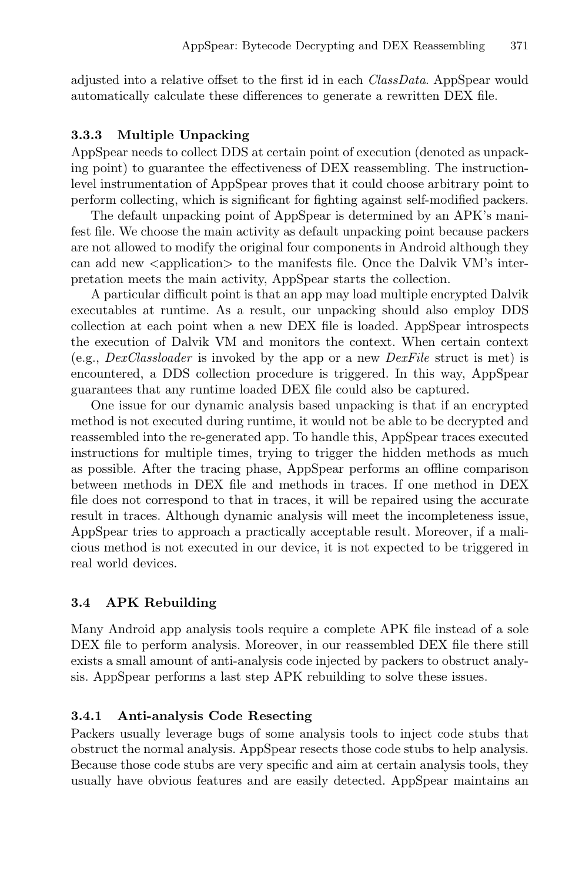adjusted into a relative offset to the first id in each *ClassData*. AppSpear would automatically calculate these differences to generate a rewritten DEX file.

#### **3.3.3 Multiple Unpacking**

AppSpear needs to collect DDS at certain point of execution (denoted as unpacking point) to guarantee the effectiveness of DEX reassembling. The instructionlevel instrumentation of AppSpear proves that it could choose arbitrary point to perform collecting, which is significant for fighting against self-modified packers.

The default unpacking point of AppSpear is determined by an APK's manifest file. We choose the main activity as default unpacking point because packers are not allowed to modify the original four components in Android although they can add new *<*application*>* to the manifests file. Once the Dalvik VM's interpretation meets the main activity, AppSpear starts the collection.

A particular difficult point is that an app may load multiple encrypted Dalvik executables at runtime. As a result, our unpacking should also employ DDS collection at each point when a new DEX file is loaded. AppSpear introspects the execution of Dalvik VM and monitors the context. When certain context (e.g., *DexClassloader* is invoked by the app or a new *DexFile* struct is met) is encountered, a DDS collection procedure is triggered. In this way, AppSpear guarantees that any runtime loaded DEX file could also be captured.

One issue for our dynamic analysis based unpacking is that if an encrypted method is not executed during runtime, it would not be able to be decrypted and reassembled into the re-generated app. To handle this, AppSpear traces executed instructions for multiple times, trying to trigger the hidden methods as much as possible. After the tracing phase, AppSpear performs an offline comparison between methods in DEX file and methods in traces. If one method in DEX file does not correspond to that in traces, it will be repaired using the accurate result in traces. Although dynamic analysis will meet the incompleteness issue, AppSpear tries to approach a practically acceptable result. Moreover, if a malicious method is not executed in our device, it is not expected to be triggered in real world devices.

# **3.4 APK Rebuilding**

Many Android app analysis tools require a complete APK file instead of a sole DEX file to perform analysis. Moreover, in our reassembled DEX file there still exists a small amount of anti-analysis code injected by packers to obstruct analysis. AppSpear performs a last step APK rebuilding to solve these issues.

#### **3.4.1 Anti-analysis Code Resecting**

Packers usually leverage bugs of some analysis tools to inject code stubs that obstruct the normal analysis. AppSpear resects those code stubs to help analysis. Because those code stubs are very specific and aim at certain analysis tools, they usually have obvious features and are easily detected. AppSpear maintains an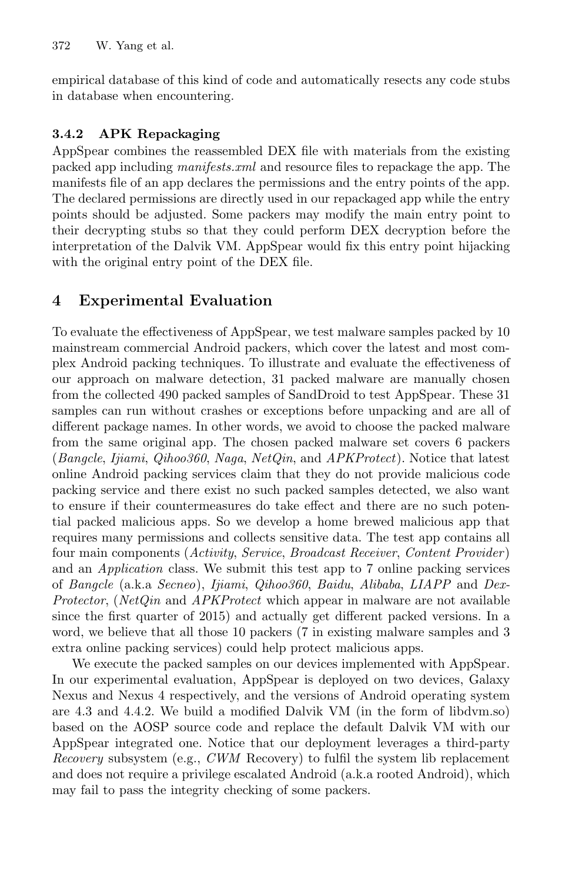empirical database of this kind of code and automatically resects any code stubs in database when encountering.

# **3.4.2 APK Repackaging**

AppSpear combines the reassembled DEX file with materials from the existing packed app including *manifests.xml* and resource files to repackage the app. The manifests file of an app declares the permissions and the entry points of the app. The declared permissions are directly used in our repackaged app while the entry points should be adjusted. Some packers may modify the main entry point to their decrypting stubs so that they could perform DEX decryption before the interpretation of the Dalvik VM. AppSpear would fix this entry point hijacking with the original entry point of the DEX file.

# <span id="page-13-0"></span>**4 Experimental Evaluation**

To evaluate the effectiveness of AppSpear, we test malware samples packed by 10 mainstream commercial Android packers, which cover the latest and most complex Android packing techniques. To illustrate and evaluate the effectiveness of our approach on malware detection, 31 packed malware are manually chosen from the collected 490 packed samples of SandDroid to test AppSpear. These 31 samples can run without crashes or exceptions before unpacking and are all of different package names. In other words, we avoid to choose the packed malware from the same original app. The chosen packed malware set covers 6 packers (*Bangcle*, *Ijiami*, *Qihoo360*, *Naga*, *NetQin*, and *APKProtect*). Notice that latest online Android packing services claim that they do not provide malicious code packing service and there exist no such packed samples detected, we also want to ensure if their countermeasures do take effect and there are no such potential packed malicious apps. So we develop a home brewed malicious app that requires many permissions and collects sensitive data. The test app contains all four main components (*Activity*, *Service*, *Broadcast Receiver*, *Content Provider* ) and an *Application* class. We submit this test app to 7 online packing services of *Bangcle* (a.k.a *Secneo*), *Ijiami*, *Qihoo360*, *Baidu*, *Alibaba*, *LIAPP* and *Dex-Protector*, (*NetQin* and *APKProtect* which appear in malware are not available since the first quarter of 2015) and actually get different packed versions. In a word, we believe that all those 10 packers (7 in existing malware samples and 3 extra online packing services) could help protect malicious apps.

We execute the packed samples on our devices implemented with AppSpear. In our experimental evaluation, AppSpear is deployed on two devices, Galaxy Nexus and Nexus 4 respectively, and the versions of Android operating system are 4.3 and 4.4.2. We build a modified Dalvik VM (in the form of libdvm.so) based on the AOSP source code and replace the default Dalvik VM with our AppSpear integrated one. Notice that our deployment leverages a third-party *Recovery* subsystem (e.g., *CWM* Recovery) to fulfil the system lib replacement and does not require a privilege escalated Android (a.k.a rooted Android), which may fail to pass the integrity checking of some packers.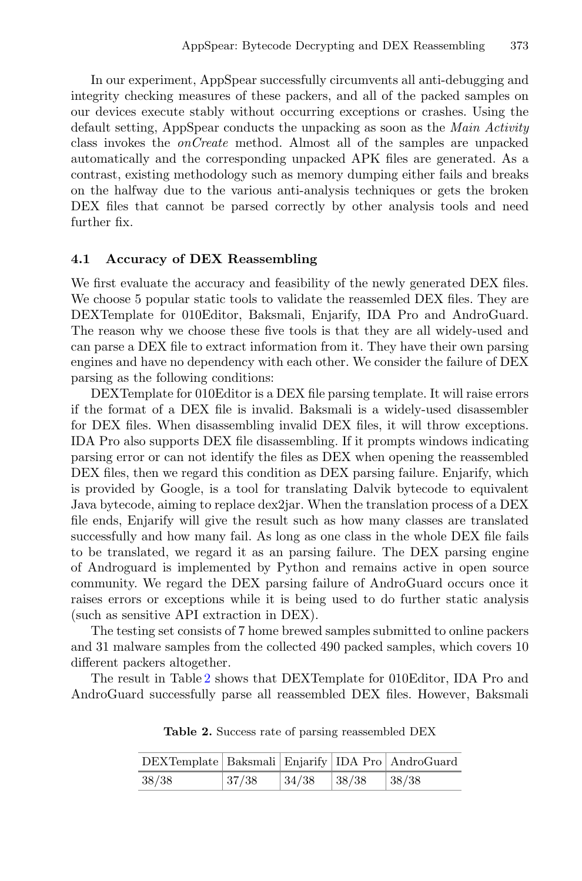In our experiment, AppSpear successfully circumvents all anti-debugging and integrity checking measures of these packers, and all of the packed samples on our devices execute stably without occurring exceptions or crashes. Using the default setting, AppSpear conducts the unpacking as soon as the *Main Activity* class invokes the *onCreate* method. Almost all of the samples are unpacked automatically and the corresponding unpacked APK files are generated. As a contrast, existing methodology such as memory dumping either fails and breaks on the halfway due to the various anti-analysis techniques or gets the broken DEX files that cannot be parsed correctly by other analysis tools and need further fix.

#### **4.1 Accuracy of DEX Reassembling**

We first evaluate the accuracy and feasibility of the newly generated DEX files. We choose 5 popular static tools to validate the reassemled DEX files. They are DEXTemplate for 010Editor, Baksmali, Enjarify, IDA Pro and AndroGuard. The reason why we choose these five tools is that they are all widely-used and can parse a DEX file to extract information from it. They have their own parsing engines and have no dependency with each other. We consider the failure of DEX parsing as the following conditions:

DEXTemplate for 010Editor is a DEX file parsing template. It will raise errors if the format of a DEX file is invalid. Baksmali is a widely-used disassembler for DEX files. When disassembling invalid DEX files, it will throw exceptions. IDA Pro also supports DEX file disassembling. If it prompts windows indicating parsing error or can not identify the files as DEX when opening the reassembled DEX files, then we regard this condition as DEX parsing failure. Enjarify, which is provided by Google, is a tool for translating Dalvik bytecode to equivalent Java bytecode, aiming to replace dex2jar. When the translation process of a DEX file ends, Enjarify will give the result such as how many classes are translated successfully and how many fail. As long as one class in the whole DEX file fails to be translated, we regard it as an parsing failure. The DEX parsing engine of Androguard is implemented by Python and remains active in open source community. We regard the DEX parsing failure of AndroGuard occurs once it raises errors or exceptions while it is being used to do further static analysis (such as sensitive API extraction in DEX).

The testing set consists of 7 home brewed samples submitted to online packers and 31 malware samples from the collected 490 packed samples, which covers 10 different packers altogether.

The result in Table [2](#page-14-0) shows that DEXTemplate for 010Editor, IDA Pro and AndroGuard successfully parse all reassembled DEX files. However, Baksmali

<span id="page-14-0"></span>

| DEXTemplate   Baksmali   Enjarify   IDA Pro   AndroGuard |       |       |                 |       |
|----------------------------------------------------------|-------|-------|-----------------|-------|
| 38/38                                                    | 37/38 | 34/38 | $\frac{38}{38}$ | 38/38 |

**Table 2.** Success rate of parsing reassembled DEX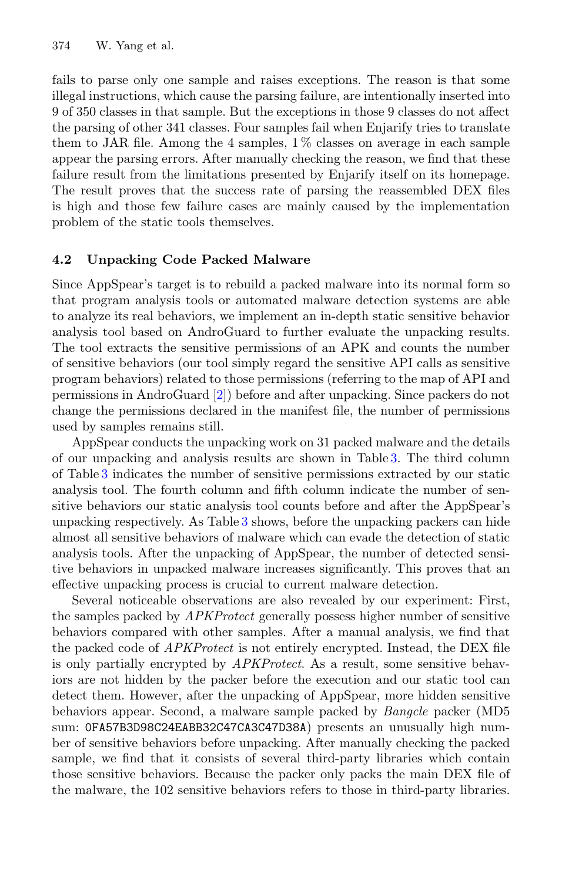fails to parse only one sample and raises exceptions. The reason is that some illegal instructions, which cause the parsing failure, are intentionally inserted into 9 of 350 classes in that sample. But the exceptions in those 9 classes do not affect the parsing of other 341 classes. Four samples fail when Enjarify tries to translate them to JAR file. Among the 4 samples, 1 % classes on average in each sample appear the parsing errors. After manually checking the reason, we find that these failure result from the limitations presented by Enjarify itself on its homepage. The result proves that the success rate of parsing the reassembled DEX files is high and those few failure cases are mainly caused by the implementation problem of the static tools themselves.

#### **4.2 Unpacking Code Packed Malware**

Since AppSpear's target is to rebuild a packed malware into its normal form so that program analysis tools or automated malware detection systems are able to analyze its real behaviors, we implement an in-depth static sensitive behavior analysis tool based on AndroGuard to further evaluate the unpacking results. The tool extracts the sensitive permissions of an APK and counts the number of sensitive behaviors (our tool simply regard the sensitive API calls as sensitive program behaviors) related to those permissions (referring to the map of API and permissions in AndroGuard [\[2\]](#page-20-2)) before and after unpacking. Since packers do not change the permissions declared in the manifest file, the number of permissions used by samples remains still.

AppSpear conducts the unpacking work on 31 packed malware and the details of our unpacking and analysis results are shown in Table [3.](#page-16-0) The third column of Table [3](#page-16-0) indicates the number of sensitive permissions extracted by our static analysis tool. The fourth column and fifth column indicate the number of sensitive behaviors our static analysis tool counts before and after the AppSpear's unpacking respectively. As Table [3](#page-16-0) shows, before the unpacking packers can hide almost all sensitive behaviors of malware which can evade the detection of static analysis tools. After the unpacking of AppSpear, the number of detected sensitive behaviors in unpacked malware increases significantly. This proves that an effective unpacking process is crucial to current malware detection.

Several noticeable observations are also revealed by our experiment: First, the samples packed by *APKProtect* generally possess higher number of sensitive behaviors compared with other samples. After a manual analysis, we find that the packed code of *APKProtect* is not entirely encrypted. Instead, the DEX file is only partially encrypted by *APKProtect*. As a result, some sensitive behaviors are not hidden by the packer before the execution and our static tool can detect them. However, after the unpacking of AppSpear, more hidden sensitive behaviors appear. Second, a malware sample packed by *Bangcle* packer (MD5 sum: 0FA57B3D98C24EABB32C47CA3C47D38A) presents an unusually high number of sensitive behaviors before unpacking. After manually checking the packed sample, we find that it consists of several third-party libraries which contain those sensitive behaviors. Because the packer only packs the main DEX file of the malware, the 102 sensitive behaviors refers to those in third-party libraries.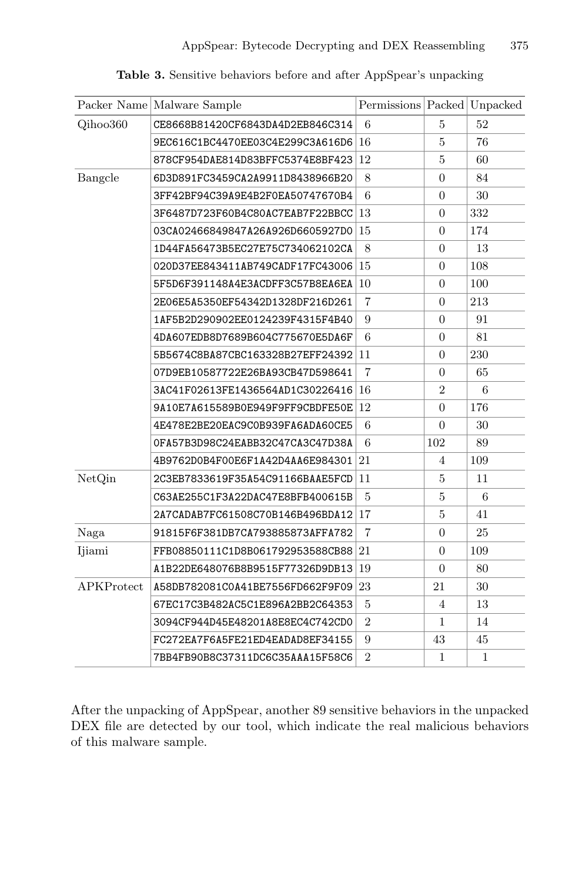<span id="page-16-0"></span>

| Packer Name Malware Sample |                                  | Permissions   Packed |                  | Unpacked |
|----------------------------|----------------------------------|----------------------|------------------|----------|
| Qihoo360                   | CE8668B81420CF6843DA4D2EB846C314 | 6                    | $\bf 5$          | 52       |
|                            | 9EC616C1BC4470EE03C4E299C3A616D6 | 16                   | $\overline{5}$   | 76       |
|                            | 878CF954DAE814D83BFFC5374E8BF423 | 12                   | 5                | 60       |
| Bangcle                    | 6D3D891FC3459CA2A9911D8438966B20 | 8                    | $\overline{0}$   | 84       |
|                            | 3FF42BF94C39A9E4B2F0EA50747670B4 | 6                    | $\theta$         | 30       |
|                            | 3F6487D723F60B4C80AC7EAB7F22BBCC | 13                   | $\theta$         | 332      |
|                            | 03CA02466849847A26A926D6605927D0 | 15                   | $\theta$         | 174      |
|                            | 1D44FA56473B5EC27E75C734062102CA | 8                    | $\boldsymbol{0}$ | 13       |
|                            | 020D37EE843411AB749CADF17FC43006 | 15                   | $\theta$         | 108      |
|                            | 5F5D6F391148A4E3ACDFF3C57B8EA6EA | 10                   | $\overline{0}$   | 100      |
|                            | 2E06E5A5350EF54342D1328DF216D261 | $\overline{7}$       | $\overline{0}$   | 213      |
|                            | 1AF5B2D290902EE0124239F4315F4B40 | 9                    | $\overline{0}$   | 91       |
|                            | 4DA607EDB8D7689B604C775670E5DA6F | 6                    | $\theta$         | 81       |
|                            | 5B5674C8BA87CBC163328B27EFF24392 | 11                   | $\theta$         | 230      |
|                            | 07D9EB10587722E26BA93CB47D598641 | 7                    | $\theta$         | 65       |
|                            | 3AC41F02613FE1436564AD1C30226416 | 16                   | $\overline{2}$   | 6        |
|                            | 9A10E7A615589B0E949F9FF9CBDFE50E | 12                   | $\overline{0}$   | 176      |
|                            | 4E478E2BE20EAC9C0B939FA6ADA60CE5 | $\,$ 6 $\,$          | $\overline{0}$   | 30       |
|                            | 0FA57B3D98C24EABB32C47CA3C47D38A | 6                    | 102              | 89       |
|                            | 4B9762D0B4F00E6F1A42D4AA6E984301 | 21                   | 4                | 109      |
| NetQin                     | 2C3EB7833619F35A54C91166BAAE5FCD | 11                   | $\bf 5$          | 11       |
|                            | C63AE255C1F3A22DAC47E8BFB400615B | 5                    | 5                | 6        |
|                            | 2A7CADAB7FC61508C70B146B496BDA12 | 17                   | 5                | 41       |
| Naga                       | 91815F6F381DB7CA793885873AFFA782 | 7                    | $\theta$         | 25       |
| Ijiami                     | FFB08850111C1D8B061792953588CB88 | 21                   | $\theta$         | 109      |
|                            | A1B22DE648076B8B9515F77326D9DB13 | 19                   | $\theta$         | 80       |
| APKProtect                 | A58DB782081C0A41BE7556FD662F9F09 | 23                   | 21               | 30       |
|                            | 67EC17C3B482AC5C1E896A2BB2C64353 | 5                    | 4                | 13       |
|                            | 3094CF944D45E48201A8E8EC4C742CD0 | $\overline{2}$       | 1                | 14       |
|                            | FC272EA7F6A5FE21ED4EADAD8EF34155 | 9                    | 43               | 45       |
|                            | 7BB4FB90B8C37311DC6C35AAA15F58C6 | $\overline{2}$       | 1                | 1        |

**Table 3.** Sensitive behaviors before and after AppSpear's unpacking

After the unpacking of AppSpear, another 89 sensitive behaviors in the unpacked DEX file are detected by our tool, which indicate the real malicious behaviors of this malware sample.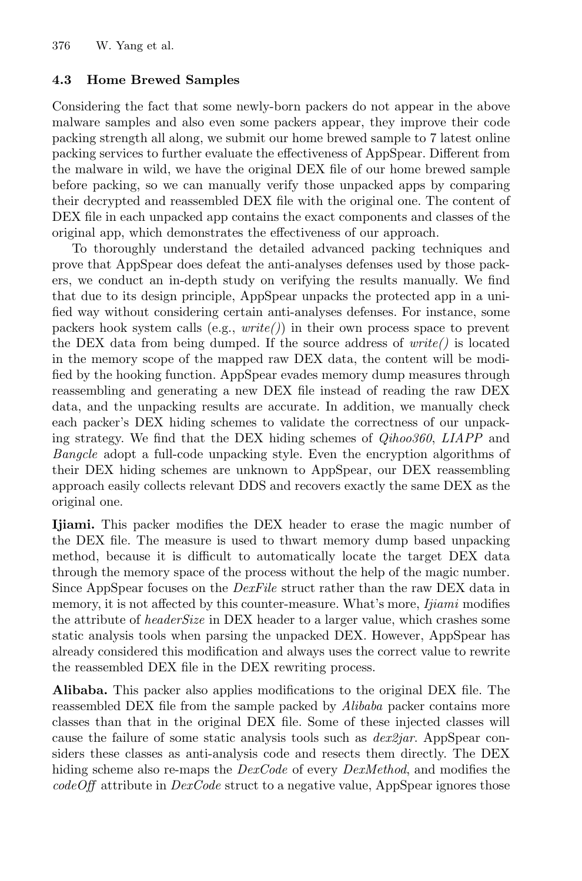## **4.3 Home Brewed Samples**

Considering the fact that some newly-born packers do not appear in the above malware samples and also even some packers appear, they improve their code packing strength all along, we submit our home brewed sample to 7 latest online packing services to further evaluate the effectiveness of AppSpear. Different from the malware in wild, we have the original DEX file of our home brewed sample before packing, so we can manually verify those unpacked apps by comparing their decrypted and reassembled DEX file with the original one. The content of DEX file in each unpacked app contains the exact components and classes of the original app, which demonstrates the effectiveness of our approach.

To thoroughly understand the detailed advanced packing techniques and prove that AppSpear does defeat the anti-analyses defenses used by those packers, we conduct an in-depth study on verifying the results manually. We find that due to its design principle, AppSpear unpacks the protected app in a unified way without considering certain anti-analyses defenses. For instance, some packers hook system calls (e.g., *write()*) in their own process space to prevent the DEX data from being dumped. If the source address of *write()* is located in the memory scope of the mapped raw DEX data, the content will be modified by the hooking function. AppSpear evades memory dump measures through reassembling and generating a new DEX file instead of reading the raw DEX data, and the unpacking results are accurate. In addition, we manually check each packer's DEX hiding schemes to validate the correctness of our unpacking strategy. We find that the DEX hiding schemes of *Qihoo360*, *LIAPP* and *Bangcle* adopt a full-code unpacking style. Even the encryption algorithms of their DEX hiding schemes are unknown to AppSpear, our DEX reassembling approach easily collects relevant DDS and recovers exactly the same DEX as the original one.

**Ijiami.** This packer modifies the DEX header to erase the magic number of the DEX file. The measure is used to thwart memory dump based unpacking method, because it is difficult to automatically locate the target DEX data through the memory space of the process without the help of the magic number. Since AppSpear focuses on the *DexFile* struct rather than the raw DEX data in memory, it is not affected by this counter-measure. What's more, *Ijiami* modifies the attribute of *headerSize* in DEX header to a larger value, which crashes some static analysis tools when parsing the unpacked DEX. However, AppSpear has already considered this modification and always uses the correct value to rewrite the reassembled DEX file in the DEX rewriting process.

**Alibaba.** This packer also applies modifications to the original DEX file. The reassembled DEX file from the sample packed by *Alibaba* packer contains more classes than that in the original DEX file. Some of these injected classes will cause the failure of some static analysis tools such as *dex2jar*. AppSpear considers these classes as anti-analysis code and resects them directly. The DEX hiding scheme also re-maps the *DexCode* of every *DexMethod*, and modifies the *codeOff* attribute in *DexCode* struct to a negative value, AppSpear ignores those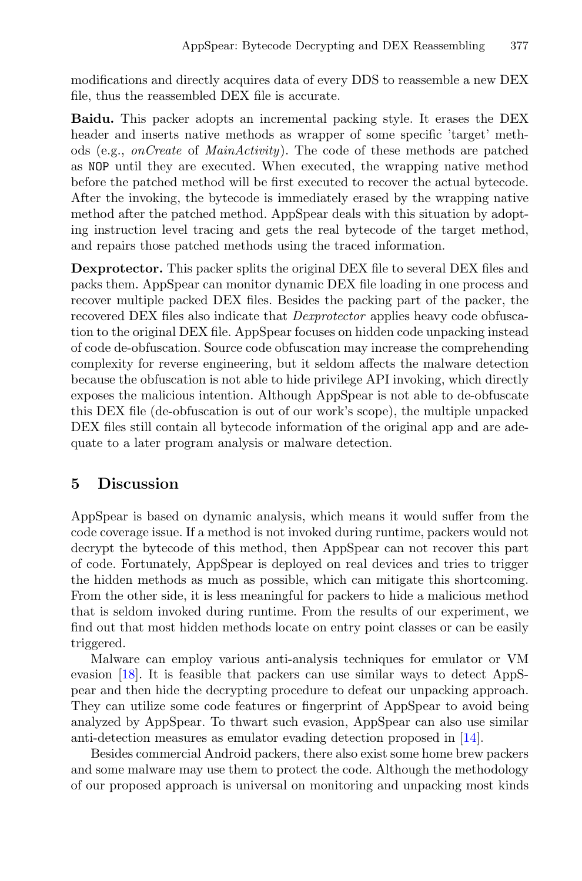modifications and directly acquires data of every DDS to reassemble a new DEX file, thus the reassembled DEX file is accurate.

**Baidu.** This packer adopts an incremental packing style. It erases the DEX header and inserts native methods as wrapper of some specific 'target' methods (e.g., *onCreate* of *MainActivity*). The code of these methods are patched as NOP until they are executed. When executed, the wrapping native method before the patched method will be first executed to recover the actual bytecode. After the invoking, the bytecode is immediately erased by the wrapping native method after the patched method. AppSpear deals with this situation by adopting instruction level tracing and gets the real bytecode of the target method, and repairs those patched methods using the traced information.

**Dexprotector.** This packer splits the original DEX file to several DEX files and packs them. AppSpear can monitor dynamic DEX file loading in one process and recover multiple packed DEX files. Besides the packing part of the packer, the recovered DEX files also indicate that *Dexprotector* applies heavy code obfuscation to the original DEX file. AppSpear focuses on hidden code unpacking instead of code de-obfuscation. Source code obfuscation may increase the comprehending complexity for reverse engineering, but it seldom affects the malware detection because the obfuscation is not able to hide privilege API invoking, which directly exposes the malicious intention. Although AppSpear is not able to de-obfuscate this DEX file (de-obfuscation is out of our work's scope), the multiple unpacked DEX files still contain all bytecode information of the original app and are adequate to a later program analysis or malware detection.

# <span id="page-18-0"></span>**5 Discussion**

AppSpear is based on dynamic analysis, which means it would suffer from the code coverage issue. If a method is not invoked during runtime, packers would not decrypt the bytecode of this method, then AppSpear can not recover this part of code. Fortunately, AppSpear is deployed on real devices and tries to trigger the hidden methods as much as possible, which can mitigate this shortcoming. From the other side, it is less meaningful for packers to hide a malicious method that is seldom invoked during runtime. From the results of our experiment, we find out that most hidden methods locate on entry point classes or can be easily triggered.

Malware can employ various anti-analysis techniques for emulator or VM evasion [\[18](#page-21-9)]. It is feasible that packers can use similar ways to detect AppSpear and then hide the decrypting procedure to defeat our unpacking approach. They can utilize some code features or fingerprint of AppSpear to avoid being analyzed by AppSpear. To thwart such evasion, AppSpear can also use similar anti-detection measures as emulator evading detection proposed in [\[14\]](#page-21-10).

Besides commercial Android packers, there also exist some home brew packers and some malware may use them to protect the code. Although the methodology of our proposed approach is universal on monitoring and unpacking most kinds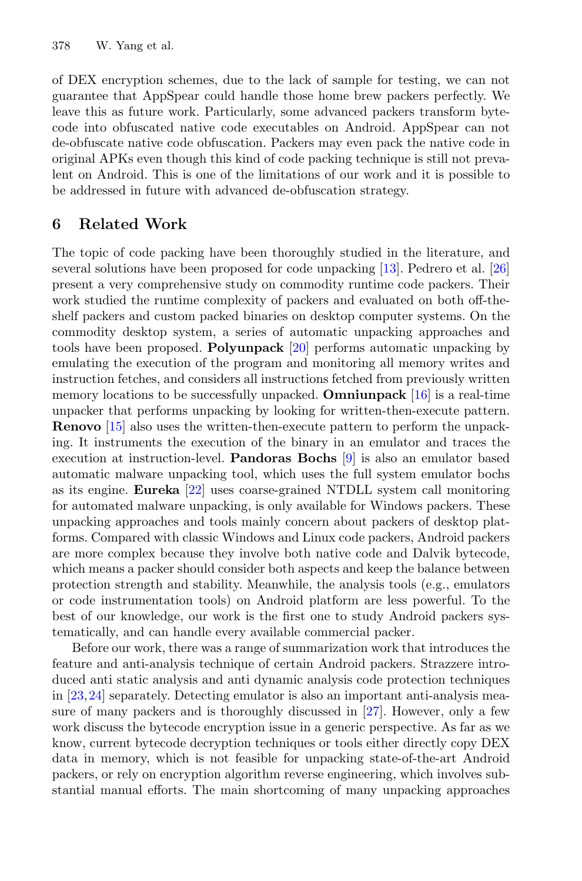of DEX encryption schemes, due to the lack of sample for testing, we can not guarantee that AppSpear could handle those home brew packers perfectly. We leave this as future work. Particularly, some advanced packers transform bytecode into obfuscated native code executables on Android. AppSpear can not de-obfuscate native code obfuscation. Packers may even pack the native code in original APKs even though this kind of code packing technique is still not prevalent on Android. This is one of the limitations of our work and it is possible to be addressed in future with advanced de-obfuscation strategy.

# <span id="page-19-0"></span>**6 Related Work**

The topic of code packing have been thoroughly studied in the literature, and several solutions have been proposed for code unpacking [\[13](#page-21-11)]. Pedrero et al. [\[26](#page-22-1)] present a very comprehensive study on commodity runtime code packers. Their work studied the runtime complexity of packers and evaluated on both off-theshelf packers and custom packed binaries on desktop computer systems. On the commodity desktop system, a series of automatic unpacking approaches and tools have been proposed. **Polyunpack** [\[20\]](#page-21-12) performs automatic unpacking by emulating the execution of the program and monitoring all memory writes and instruction fetches, and considers all instructions fetched from previously written memory locations to be successfully unpacked. **Omniunpack** [\[16\]](#page-21-13) is a real-time unpacker that performs unpacking by looking for written-then-execute pattern. **Renovo** [\[15](#page-21-14)] also uses the written-then-execute pattern to perform the unpacking. It instruments the execution of the binary in an emulator and traces the execution at instruction-level. **Pandoras Bochs** [\[9](#page-21-15)] is also an emulator based automatic malware unpacking tool, which uses the full system emulator bochs as its engine. **Eureka** [\[22](#page-21-16)] uses coarse-grained NTDLL system call monitoring for automated malware unpacking, is only available for Windows packers. These unpacking approaches and tools mainly concern about packers of desktop platforms. Compared with classic Windows and Linux code packers, Android packers are more complex because they involve both native code and Dalvik bytecode, which means a packer should consider both aspects and keep the balance between protection strength and stability. Meanwhile, the analysis tools (e.g., emulators or code instrumentation tools) on Android platform are less powerful. To the best of our knowledge, our work is the first one to study Android packers systematically, and can handle every available commercial packer.

Before our work, there was a range of summarization work that introduces the feature and anti-analysis technique of certain Android packers. Strazzere introduced anti static analysis and anti dynamic analysis code protection techniques in [\[23](#page-22-4)[,24](#page-22-5)] separately. Detecting emulator is also an important anti-analysis measure of many packers and is thoroughly discussed in [\[27\]](#page-22-6). However, only a few work discuss the bytecode encryption issue in a generic perspective. As far as we know, current bytecode decryption techniques or tools either directly copy DEX data in memory, which is not feasible for unpacking state-of-the-art Android packers, or rely on encryption algorithm reverse engineering, which involves substantial manual efforts. The main shortcoming of many unpacking approaches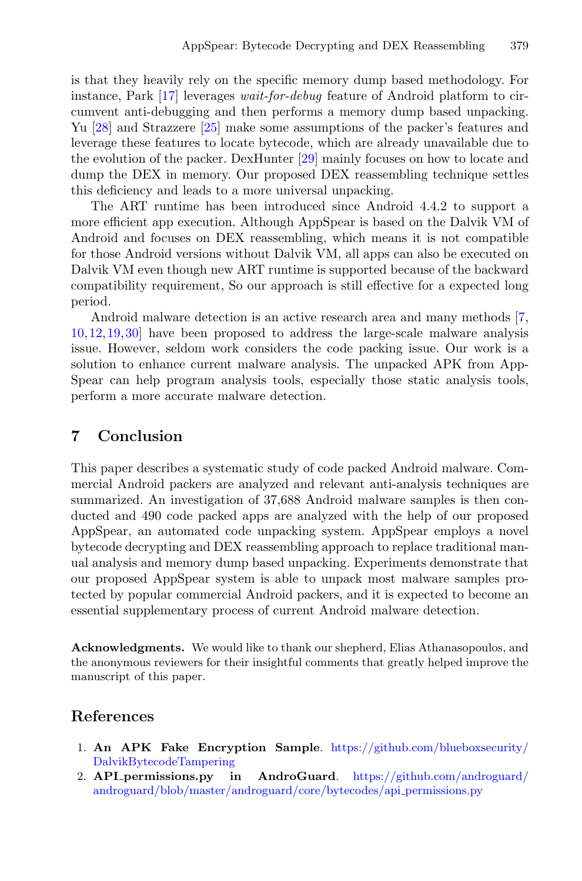is that they heavily rely on the specific memory dump based methodology. For instance, Park [\[17](#page-21-5)] leverages *wait-for-debug* feature of Android platform to circumvent anti-debugging and then performs a memory dump based unpacking. Yu [\[28](#page-22-3)] and Strazzere [\[25](#page-22-2)] make some assumptions of the packer's features and leverage these features to locate bytecode, which are already unavailable due to the evolution of the packer. DexHunter [\[29\]](#page-22-7) mainly focuses on how to locate and dump the DEX in memory. Our proposed DEX reassembling technique settles this deficiency and leads to a more universal unpacking.

The ART runtime has been introduced since Android 4.4.2 to support a more efficient app execution. Although AppSpear is based on the Dalvik VM of Android and focuses on DEX reassembling, which means it is not compatible for those Android versions without Dalvik VM, all apps can also be executed on Dalvik VM even though new ART runtime is supported because of the backward compatibility requirement, So our approach is still effective for a expected long period.

Android malware detection is an active research area and many methods [\[7,](#page-21-0) [10,](#page-21-17)[12](#page-21-18)[,19,](#page-21-19)[30\]](#page-22-0) have been proposed to address the large-scale malware analysis issue. However, seldom work considers the code packing issue. Our work is a solution to enhance current malware analysis. The unpacked APK from App-Spear can help program analysis tools, especially those static analysis tools, perform a more accurate malware detection.

# <span id="page-20-0"></span>**7 Conclusion**

This paper describes a systematic study of code packed Android malware. Commercial Android packers are analyzed and relevant anti-analysis techniques are summarized. An investigation of 37,688 Android malware samples is then conducted and 490 code packed apps are analyzed with the help of our proposed AppSpear, an automated code unpacking system. AppSpear employs a novel bytecode decrypting and DEX reassembling approach to replace traditional manual analysis and memory dump based unpacking. Experiments demonstrate that our proposed AppSpear system is able to unpack most malware samples protected by popular commercial Android packers, and it is expected to become an essential supplementary process of current Android malware detection.

**Acknowledgments.** We would like to thank our shepherd, Elias Athanasopoulos, and the anonymous reviewers for their insightful comments that greatly helped improve the manuscript of this paper.

# <span id="page-20-1"></span>**References**

- 1. **An APK Fake Encryption Sample**. [https://github.com/blueboxsecurity/](https://github.com/blueboxsecurity/DalvikBytecodeTampering) [DalvikBytecodeTampering](https://github.com/blueboxsecurity/DalvikBytecodeTampering)
- <span id="page-20-2"></span>2. **API permissions.py in AndroGuard**. [https://github.com/androguard/](https://github.com/androguard/androguard/blob/master/androguard/core/bytecodes/api_permissions.py) [androguard/blob/master/androguard/core/bytecodes/api](https://github.com/androguard/androguard/blob/master/androguard/core/bytecodes/api_permissions.py) permissions.py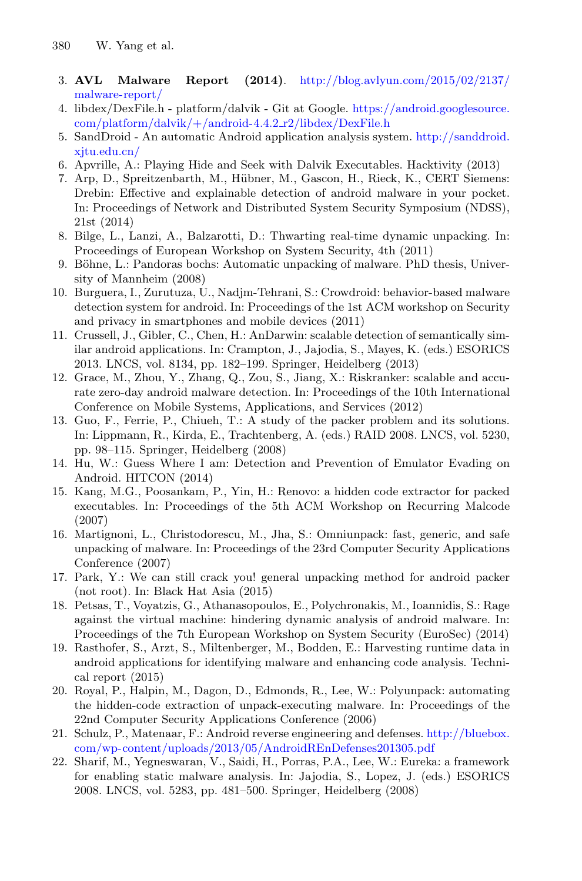- <span id="page-21-3"></span>3. **AVL Malware Report (2014)**. [http://blog.avlyun.com/2015/02/2137/](http://blog.avlyun.com/2015/02/2137/malware-report/) [malware-report/](http://blog.avlyun.com/2015/02/2137/malware-report/)
- <span id="page-21-8"></span>4. libdex/DexFile.h - platform/dalvik - Git at Google. [https://android.googlesource.](https://android.googlesource.com/platform/dalvik/+/android-4.4.2_r2/libdex/DexFile.h) [com/platform/dalvik/+/android-4.4.2](https://android.googlesource.com/platform/dalvik/+/android-4.4.2_r2/libdex/DexFile.h) r2/libdex/DexFile.h
- <span id="page-21-4"></span>5. SandDroid - An automatic Android application analysis system. [http://sanddroid.](http://sanddroid.xjtu.edu.cn/) [xjtu.edu.cn/](http://sanddroid.xjtu.edu.cn/)
- <span id="page-21-7"></span>6. Apvrille, A.: Playing Hide and Seek with Dalvik Executables. Hacktivity (2013)
- <span id="page-21-0"></span>7. Arp, D., Spreitzenbarth, M., H¨ubner, M., Gascon, H., Rieck, K., CERT Siemens: Drebin: Effective and explainable detection of android malware in your pocket. In: Proceedings of Network and Distributed System Security Symposium (NDSS), 21st (2014)
- <span id="page-21-2"></span>8. Bilge, L., Lanzi, A., Balzarotti, D.: Thwarting real-time dynamic unpacking. In: Proceedings of European Workshop on System Security, 4th (2011)
- 9. Böhne, L.: Pandoras bochs: Automatic unpacking of malware. PhD thesis, University of Mannheim (2008)
- <span id="page-21-17"></span><span id="page-21-15"></span>10. Burguera, I., Zurutuza, U., Nadjm-Tehrani, S.: Crowdroid: behavior-based malware detection system for android. In: Proceedings of the 1st ACM workshop on Security and privacy in smartphones and mobile devices (2011)
- <span id="page-21-1"></span>11. Crussell, J., Gibler, C., Chen, H.: AnDarwin: scalable detection of semantically similar android applications. In: Crampton, J., Jajodia, S., Mayes, K. (eds.) ESORICS 2013. LNCS, vol. 8134, pp. 182–199. Springer, Heidelberg (2013)
- <span id="page-21-18"></span>12. Grace, M., Zhou, Y., Zhang, Q., Zou, S., Jiang, X.: Riskranker: scalable and accurate zero-day android malware detection. In: Proceedings of the 10th International Conference on Mobile Systems, Applications, and Services (2012)
- <span id="page-21-11"></span>13. Guo, F., Ferrie, P., Chiueh, T.: A study of the packer problem and its solutions. In: Lippmann, R., Kirda, E., Trachtenberg, A. (eds.) RAID 2008. LNCS, vol. 5230, pp. 98–115. Springer, Heidelberg (2008)
- <span id="page-21-10"></span>14. Hu, W.: Guess Where I am: Detection and Prevention of Emulator Evading on Android. HITCON (2014)
- <span id="page-21-14"></span>15. Kang, M.G., Poosankam, P., Yin, H.: Renovo: a hidden code extractor for packed executables. In: Proceedings of the 5th ACM Workshop on Recurring Malcode (2007)
- <span id="page-21-13"></span>16. Martignoni, L., Christodorescu, M., Jha, S.: Omniunpack: fast, generic, and safe unpacking of malware. In: Proceedings of the 23rd Computer Security Applications Conference (2007)
- <span id="page-21-5"></span>17. Park, Y.: We can still crack you! general unpacking method for android packer (not root). In: Black Hat Asia (2015)
- <span id="page-21-9"></span>18. Petsas, T., Voyatzis, G., Athanasopoulos, E., Polychronakis, M., Ioannidis, S.: Rage against the virtual machine: hindering dynamic analysis of android malware. In: Proceedings of the 7th European Workshop on System Security (EuroSec) (2014)
- <span id="page-21-19"></span>19. Rasthofer, S., Arzt, S., Miltenberger, M., Bodden, E.: Harvesting runtime data in android applications for identifying malware and enhancing code analysis. Technical report (2015)
- <span id="page-21-12"></span>20. Royal, P., Halpin, M., Dagon, D., Edmonds, R., Lee, W.: Polyunpack: automating the hidden-code extraction of unpack-executing malware. In: Proceedings of the 22nd Computer Security Applications Conference (2006)
- <span id="page-21-6"></span>21. Schulz, P., Matenaar, F.: Android reverse engineering and defenses. [http://bluebox.](http://bluebox.com/wp-content/uploads/2013/05/AndroidREnDefenses201305.pdf) [com/wp-content/uploads/2013/05/AndroidREnDefenses201305.pdf](http://bluebox.com/wp-content/uploads/2013/05/AndroidREnDefenses201305.pdf)
- <span id="page-21-16"></span>22. Sharif, M., Yegneswaran, V., Saidi, H., Porras, P.A., Lee, W.: Eureka: a framework for enabling static malware analysis. In: Jajodia, S., Lopez, J. (eds.) ESORICS 2008. LNCS, vol. 5283, pp. 481–500. Springer, Heidelberg (2008)